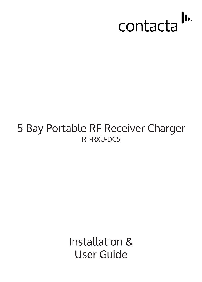

# 5 Bay Portable RF Receiver Charger RF-RXU-DC5

Installation & **User Guide**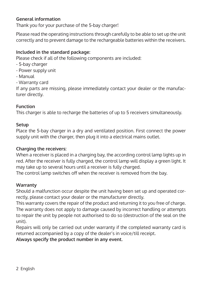# **General information**

Thank you for your purchase of the 5-bay charger!

Please read the operating instructions through carefully to be able to set up the unit correctly and to prevent damage to the rechargeable batteries within the receivers.

# **Included in the standard package:**

Please check if all of the following components are included:

- 5-bay charger
- Power supply unit
- Manual
- Warranty card

If any parts are missing, please immediately contact your dealer or the manufacturer directly.

## **Function**

This charger is able to recharge the batteries of up to 5 receivers simultaneously.

#### **Setup**

Place the 5-bay charger in a dry and ventilated position. First connect the power supply unit with the charger, then plug it into a electrical mains outlet.

## **Charging the receivers:**

When a receiver is placed in a charging bay, the according control lamp lights up in red. After the receiver is fully charged, the control lamp will display a green light. It may take up to several hours until a receiver is fully charged.

The control lamp switches off when the receiver is removed from the bay.

## **Warranty**

Should a malfunction occur despite the unit having been set up and operated correctly, please contact your dealer or the manufacturer directly.

This warranty covers the repair of the product and returning it to you free of charge. The warranty does not apply to damage caused by incorrect handling or attempts to repair the unit by people not authorised to do so (destruction of the seal on the unit).

Repairs will only be carried out under warranty if the completed warranty card is returned accompanied by a copy of the dealer's in voice/till receipt.

**Always specify the product number in any event.**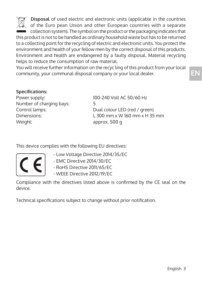**Disposal** of used electric and electronic units (applicable in the countries of the Euro pean Union and other European countries with a separate  $\Box$  collection system). The symbol on the product or the packaging indicates that this product is not to be handled as ordinary household waste but has to be returned to a collecting point for the recycling of electric and electronic units. You protect the environment and health of your fellow men by the correct disposal of this products. Environment and health are endangered by a faulty disposal. Material recycling helps to reduce the consumption of raw material.

You will receive further information on the recyc ling of this product from your local community, your communal disposal company or your local dealer.

#### **Specifications:**

Number of charging bays: 5 Weight: approx. 500 g

Power supply: 100-240 Volt AC 50/60 Hz Control lamps: Dual colour LED (red / green) Dimensions: L 300 mm x W 160 mm x H 35 mm

This device complies with the following EU directives:

- Low Voltage Directive 2014/35/EC
- EMC Directive 2014/30/EC
- RoHS Directive 2011/65/EC
- WEEE Directive 2012/19/EC

Compliance with the directives listed above is confirmed by the CE seal on the device.

Technical specifications subject to change without prior notification.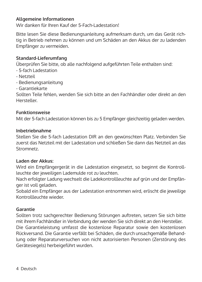#### **Allgemeine Informationen**

Wir danken für Ihren Kauf der 5-Fach-Ladestation!

Bitte lesen Sie diese Bedienungsanleitung aufmerksam durch, um das Gerät richtig in Betrieb nehmen zu können und um Schäden an den Akkus der zu ladenden Empfänger zu vermeiden.

#### **Standard-Lieferumfang**

Überprüfen Sie bitte, ob alle nachfolgend aufgeführten Teile enthalten sind:

- 5-fach Ladestation
- Netzteil
- Bedienungsanleitung
- Garantiekarte

Sollten Teile fehlen, wenden Sie sich bitte an den Fachhändler oder direkt an den Hersteller.

#### **Funktionsweise**

Mit der 5-fach Ladestation können bis zu 5 Empfänger gleichzeitig geladen werden.

#### **Inbetriebnahme**

Stellen Sie die 5-fach Ladestation DIR an den gewünschten Platz. Verbinden Sie zuerst das Netzteil mit der Ladestation und schließen Sie dann das Netzteil an das **Stromnetz** 

#### **Laden der Akkus:**

Wird ein Empfängergerät in die Ladestation eingesetzt, so beginnt die Kontrollleuchte der jeweiligen Lademulde rot zu leuchten.

Nach erfolgter Ladung wechselt die Ladekontrollleuchte auf grün und der Empfänger ist voll geladen.

Sobald ein Empfänger aus der Ladestation entnommen wird, erlischt die jeweilige Kontrollleuchte wieder.

#### **Garantie**

Sollten trotz sachgerechter Bedienung Störungen auftreten, setzen Sie sich bitte mit ihrem Fachhändler in Verbindung der wenden Sie sich direkt an den Hersteller. Die Garantieleistung umfasst die kostenlose Reparatur sowie den kostenlosen Rückversand. Die Garantie verfällt bei Schäden, die durch unsachgemäße Behandlung oder Reparaturversuchen von nicht autorisierten Personen (Zerstörung des Gerätesiegels) herbeigeführt wurden.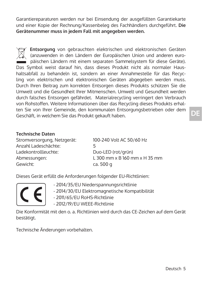Garantiereparaturen werden nur bei Einsendung der ausgefüllten Garantiekarte und einer Kopie der Rechnung/Kassenbeleg des Fachhändlers durchgeführt. **Die Gerätenummer muss in jedem Fall mit angegeben werden.**

 **Entsorgung** von gebrauchten elektrischen und elektronischen Geräten (anzuwenden in den Ländern der Europäischen Union und anderen euro-  $\Box$  päischen Ländern mit einem separaten Sammelsystem für diese Geräte). Das Symbol weist darauf hin, dass dieses Produkt nicht als normaler Haushaltsabfall zu behandeln ist, sondern an einer Annahmestelle für das Recycling von elektrischen und elektronischen Geräten abgegeben werden muss. Durch Ihren Beitrag zum korrekten Entsorgen dieses Produkts schützen Sie die Umwelt und die Gesundheit Ihrer Mitmenschen. Umwelt und Gesundheit werden durch falsches Entsorgen gefährdet. Materialrecycling verringert den Verbrauch von Rohstoffen. Weitere Informationen über das Recycling dieses Produkts erhalten Sie von Ihrer Gemeinde, den kommunalen Entsorgungsbetrieben oder dem Geschäft, in welchem Sie das Produkt gekauft haben.

#### **Technische Daten**

Stromversorgung, Netzgerät: 100-240 Volt AC 50/60 Hz Anzahl Ladeschächte: 5 Ladekontrollleuchte: Duo-LED (rot/grün)<br>Abmessungen: L 300 mm x B 160 m Gewicht: Ca. 500 g

 $1,300$  mm x B  $160$  mm x H 35 mm

Dieses Gerät erfüllt die Anforderungen folgender EU-Richtlinien:



- 2014/35/EU Niederspannungsrichtlinie

- 2014/30/EU Elektromagnetische Kompatibilität
- 2011/65/EU RoHS-Richtlinie
- 2012/19/EU WEEE-Richtlinie

Die Konformität mit den o. a. Richtlinien wird durch das CE-Zeichen auf dem Gerät bestätigt.

Technische Änderungen vorbehalten.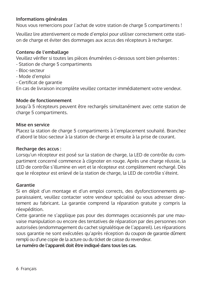# **Informations générales**

Nous vous remercions pour l'achat de votre station de charge 5 compartiments !

Veuillez lire attentivement ce mode d'emploi pour utiliser correctement cette station de charge et éviter des dommages aux accus des récepteurs à recharger.

#### **Contenu de l'emballage**

Veuillez vérifier si toutes les pièces énumérées ci-dessous sont bien présentes :

- Station de charge 5 compartiments
- Bloc-secteur
- Mode d'emploi
- Certificat de garantie

En cas de livraison incomplète veuillez contacter immédiatement votre vendeur.

# **Mode de fonctionnement**

Jusqu'à 5 récepteurs peuvent être rechargés simultanément avec cette station de charge 5 compartiments.

#### **Mise en service**

Placez la station de charge 5 compartiments à l'emplacement souhaité. Branchez d'abord le bloc-secteur à la station de charge et ensuite à la prise de courant.

#### **Recharge des accus :**

Lorsqu'un récepteur est posé sur la station de charge, la LED de contrôle du compartiment concerné commence à clignoter en rouge. Après une charge réussie, la LED de contrôle s'illumine en vert et le récepteur est complètement rechargé. Dès que le récepteur est enlevé de la station de charge, la LED de contrôle s'éteint.

#### **Garantie**

Si en dépit d'un montage et d'un emploi corrects, des dysfonctionnements apparaissaient, veuillez contacter votre vendeur spécialisé ou vous adresser directement au fabricant. La garantie comprend la réparation gratuite y compris la réexpédition.

Cette garantie ne s'applique pas pour des dommages occasionnés par une mauvaise manipulation ou encore des tentatives de réparation par des personnes non autorisées (endommagement du cachet signalétique de l'appareil). Les réparations sous garantie ne sont exécutées qu'après réception du coupon de garantie dûment rempli ou d'une copie de la acture ou du ticket de caisse du revendeur.

**Le numéro de l'appareil doit être indiqué dans tous les cas.**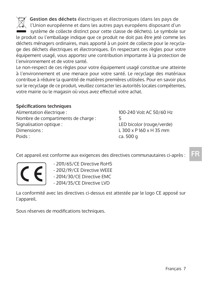**Gestion des déchets** électriques et électroniques (dans les pays de l'Union européenne et dans les autres pays européens disposant d'un système de collecte distinct pour cette classe de déchets). Le symbole sur le produit ou l'emballage indique que ce produit ne doit pas être jeté comme les déchets ménagers ordinaires, mais apporté à un point de collecte pour le recyclage des déchets électriques et électroniques. En respectant ces règles pour votre équipement usagé, vous apportez une contribution importante à la protection de l'environnement et de votre santé.

Le non-respect de ces règles pour votre équipement usagé constitue une atteinte à l'environnement et une menace pour votre santé. Le recyclage des matériaux contribue à réduire la quantité de matières premières utilisées. Pour en savoir plus sur le recyclage de ce produit, veuillez contacter les autorités locales compétentes, votre mairie ou le magasin où vous avez effectué votre achat.

# **Spécifications techniques**

Alimentation électrique : 100-240 Volt AC 50/60 Hz Nombre de compartiments de charge : 5 Signalisation optique : LED bicolor (rouge/verde) Dimensions : L 300 x P 160 x H 35 mm Poids : ca. 500 g

Cet appareil est conforme aux exigences des directives communautaires ci-après :



 - 2011/65/CE Directive RoHS - 2012/19/CE Directive WEEE - 2014/30/CE Directive EMC - 2014/35/CE Directive LVD

La conformité avec les directives ci-dessus est attestée par le logo CE apposé sur l'appareil.

Sous réserves de modifications techniques.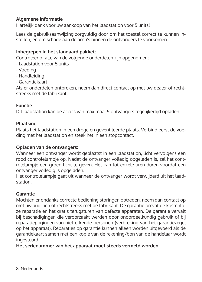# **Algemene informatie**

Hartelijk dank voor uw aankoop van het laadstation voor 5 units!

Lees de gebruiksaanwijzing zorgvuldig door om het toestel correct te kunnen instellen, en om schade aan de accu's binnen de ontvangers te voorkomen.

# **Inbegrepen in het standaard pakket:**

Controleer of alle van de volgende onderdelen zijn opgenomen:

- Laadstation voor 5 units
- Voeding
- Handleiding
- Garantiekaart

Als er onderdelen ontbreken, neem dan direct contact op met uw dealer of rechtstreeks met de fabrikant.

#### **Functie**

Dit laadstation kan de accu's van maximaal 5 ontvangers tegelijkertijd opladen.

#### **Plaatsing**

Plaats het laadstation in een droge en geventileerde plaats. Verbind eerst de voeding met het laadstation en steek het in een stopcontact.

#### **Opladen van de ontvangers:**

Wanneer een ontvanger wordt geplaatst in een laadstation, licht vervolgens een rood controlelampje op. Nadat de ontvanger volledig opgeladen is, zal het controlelampje een groen licht te geven. Het kan tot enkele uren duren voordat een ontvanger volledig is opgeladen.

Het controlelampje gaat uit wanneer de ontvanger wordt verwijderd uit het laadstation.

## **Garantie**

Mochten er ondanks correcte bediening storingen optreden, neem dan contact op met uw audicien of rechtstreeks met de fabrikant. De garantie omvat de kostenloze reparatie en het gratis terugsturen van defecte apparaten. De garantie vervalt bij beschadigingen die veroorzaakt werden door onoordeelkundig gebruik of bij reparatiepogingen van niet erkende personen (verbreking van het garantiezegel op het apparaat). Reparaties op garantie kunnen alleen worden uitgevoerd als de garantiekaart samen met een kopie van de rekening/bon van de handelaar wordt ingestuurd.

**Het serienummer van het apparaat moet steeds vermeld worden.**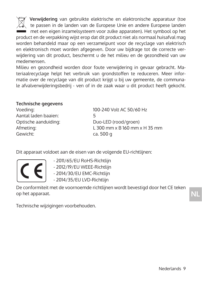**Verwijdering** van gebruikte elektrische en elektronische apparatuur (toe te passen in de landen van de Europese Unie en andere Europese landen met een eigen inzamelsysteem voor zulke apparaten). Het symbool op het product en de verpakking wijst erop dat dit product niet als normaal huisafval mag worden behandeld maar op een verzamelpunt voor de recyclage van elektrisch en elektronisch moet worden afgegeven. Door uw bijdrage tot de correcte verwijdering van dit product, beschermt u de het milieu en de gezondheid van uw medemensen.

Milieu en gezondheid worden door foute verwijdering in gevaar gebracht. Materiaalrecyclage helpt het verbruik van grondstoffen te reduceren. Meer informatie over de recyclage van dit product krijgt u bij uw gemeente, de communale afvalverwijderingsbedrij - ven of in de zaak waar u dit product heeft gekocht.

#### **Technische gegevens**

| 100-240 Volt AC 50/60 Hz          |
|-----------------------------------|
|                                   |
| Duo-LED (rood/groen)              |
| $\pm$ 300 mm x B 160 mm x H 35 mm |
| ca. 500 g                         |
|                                   |

Dit apparaat voldoet aan de eisen van de volgende EU-richtlijnen:

- 2011/65/EU RoHS-Richtlijn

- 2012/19/EU WEEE-Richtlijn

- 2014/30/EU EMC-Richtlijn - 2014/35/EU LVD-Richtlijn

De conformiteit met de voornoemde richtlijnen wordt bevestigd door het CE teken op het apparaat.

**NL**

Technische wijzigingen voorbehouden.